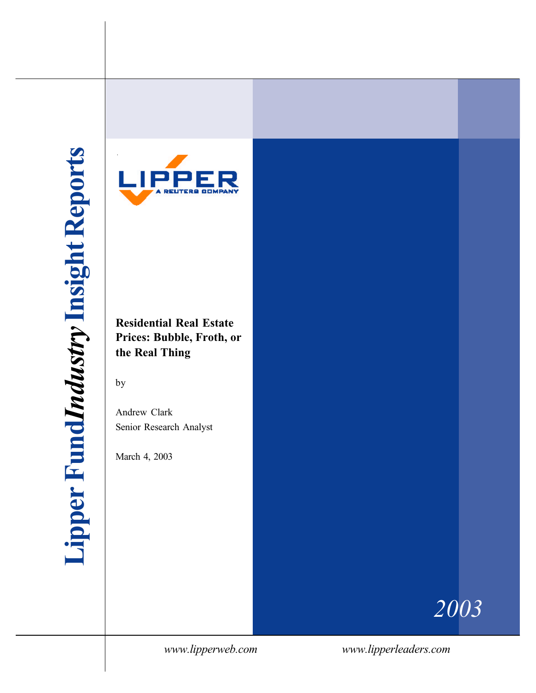

**Residential Real Estate Prices: Bubble, Froth, or the Real Thing**

by

Andrew Clark Senior Research Analyst

March 4, 2003

*2003*

*www.lipperweb.com www.lipperleaders.com*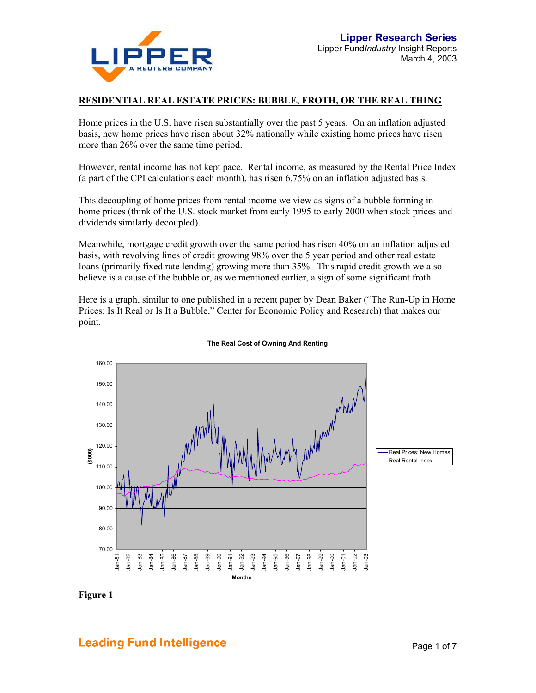

#### **RESIDENTIAL REAL ESTATE PRICES: BUBBLE, FROTH, OR THE REAL THING**

Home prices in the U.S. have risen substantially over the past 5 years. On an inflation adjusted basis, new home prices have risen about 32% nationally while existing home prices have risen more than 26% over the same time period.

However, rental income has not kept pace. Rental income, as measured by the Rental Price Index (a part of the CPI calculations each month), has risen 6.75% on an inflation adjusted basis.

This decoupling of home prices from rental income we view as signs of a bubble forming in home prices (think of the U.S. stock market from early 1995 to early 2000 when stock prices and dividends similarly decoupled).

Meanwhile, mortgage credit growth over the same period has risen 40% on an inflation adjusted basis, with revolving lines of credit growing 98% over the 5 year period and other real estate loans (primarily fixed rate lending) growing more than 35%. This rapid credit growth we also believe is a cause of the bubble or, as we mentioned earlier, a sign of some significant froth.

Here is a graph, similar to one published in a recent paper by Dean Baker ("The Run-Up in Home Prices: Is It Real or Is It a Bubble," Center for Economic Policy and Research) that makes our point.



#### **The Real Cost of Owning And Renting**

**Figure 1** 

## **Leading Fund Intelligence Example 2 and Transform Page 1 of 7** and 7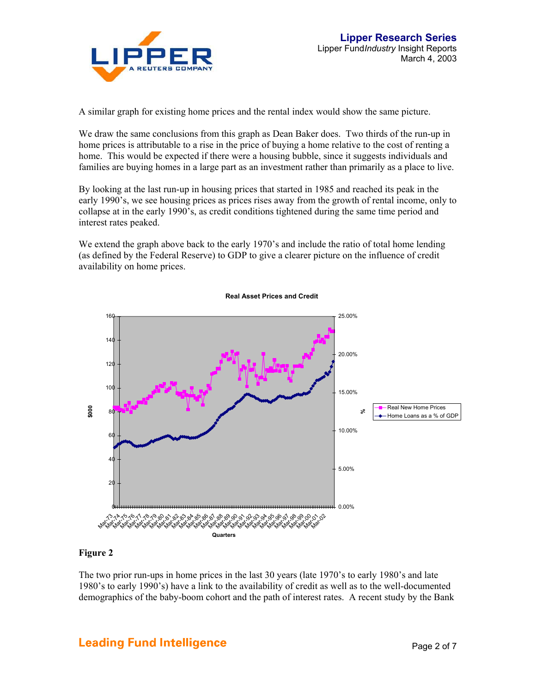

A similar graph for existing home prices and the rental index would show the same picture.

We draw the same conclusions from this graph as Dean Baker does. Two thirds of the run-up in home prices is attributable to a rise in the price of buying a home relative to the cost of renting a home. This would be expected if there were a housing bubble, since it suggests individuals and families are buying homes in a large part as an investment rather than primarily as a place to live.

By looking at the last run-up in housing prices that started in 1985 and reached its peak in the early 1990's, we see housing prices as prices rises away from the growth of rental income, only to collapse at in the early 1990's, as credit conditions tightened during the same time period and interest rates peaked.

We extend the graph above back to the early 1970's and include the ratio of total home lending (as defined by the Federal Reserve) to GDP to give a clearer picture on the influence of credit availability on home prices.



**Real Asset Prices and Credit**

#### **Figure 2**

The two prior run-ups in home prices in the last 30 years (late 1970's to early 1980's and late 1980's to early 1990's) have a link to the availability of credit as well as to the well-documented demographics of the baby-boom cohort and the path of interest rates. A recent study by the Bank

# **Leading Fund Intelligence Example 2 of 7** and 2 of 7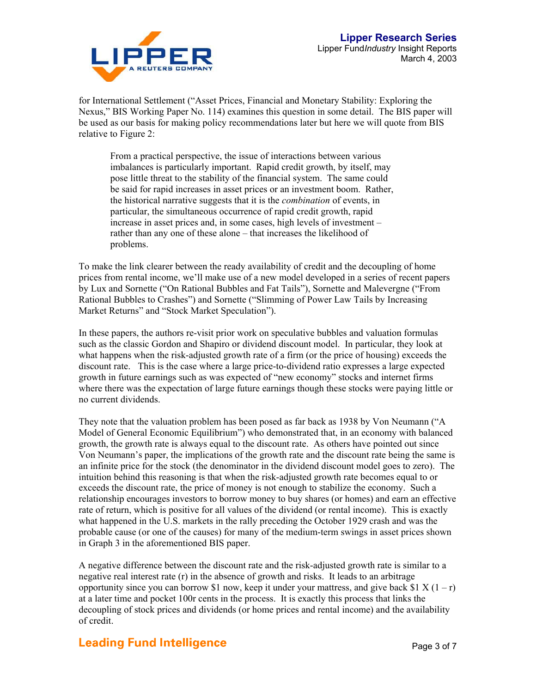

for International Settlement ("Asset Prices, Financial and Monetary Stability: Exploring the Nexus," BIS Working Paper No. 114) examines this question in some detail. The BIS paper will be used as our basis for making policy recommendations later but here we will quote from BIS relative to Figure 2:

From a practical perspective, the issue of interactions between various imbalances is particularly important. Rapid credit growth, by itself, may pose little threat to the stability of the financial system. The same could be said for rapid increases in asset prices or an investment boom. Rather, the historical narrative suggests that it is the *combination* of events, in particular, the simultaneous occurrence of rapid credit growth, rapid increase in asset prices and, in some cases, high levels of investment – rather than any one of these alone – that increases the likelihood of problems.

To make the link clearer between the ready availability of credit and the decoupling of home prices from rental income, we'll make use of a new model developed in a series of recent papers by Lux and Sornette ("On Rational Bubbles and Fat Tails"), Sornette and Malevergne ("From Rational Bubbles to Crashes") and Sornette ("Slimming of Power Law Tails by Increasing Market Returns" and "Stock Market Speculation").

In these papers, the authors re-visit prior work on speculative bubbles and valuation formulas such as the classic Gordon and Shapiro or dividend discount model. In particular, they look at what happens when the risk-adjusted growth rate of a firm (or the price of housing) exceeds the discount rate. This is the case where a large price-to-dividend ratio expresses a large expected growth in future earnings such as was expected of "new economy" stocks and internet firms where there was the expectation of large future earnings though these stocks were paying little or no current dividends.

They note that the valuation problem has been posed as far back as 1938 by Von Neumann ("A Model of General Economic Equilibrium") who demonstrated that, in an economy with balanced growth, the growth rate is always equal to the discount rate. As others have pointed out since Von Neumann's paper, the implications of the growth rate and the discount rate being the same is an infinite price for the stock (the denominator in the dividend discount model goes to zero). The intuition behind this reasoning is that when the risk-adjusted growth rate becomes equal to or exceeds the discount rate, the price of money is not enough to stabilize the economy. Such a relationship encourages investors to borrow money to buy shares (or homes) and earn an effective rate of return, which is positive for all values of the dividend (or rental income). This is exactly what happened in the U.S. markets in the rally preceding the October 1929 crash and was the probable cause (or one of the causes) for many of the medium-term swings in asset prices shown in Graph 3 in the aforementioned BIS paper.

A negative difference between the discount rate and the risk-adjusted growth rate is similar to a negative real interest rate (r) in the absence of growth and risks. It leads to an arbitrage opportunity since you can borrow \$1 now, keep it under your mattress, and give back \$1 X  $(1 - r)$ at a later time and pocket 100r cents in the process. It is exactly this process that links the decoupling of stock prices and dividends (or home prices and rental income) and the availability of credit.

## **Leading Fund Intelligence Example 2 and Transform Page 3 of 7**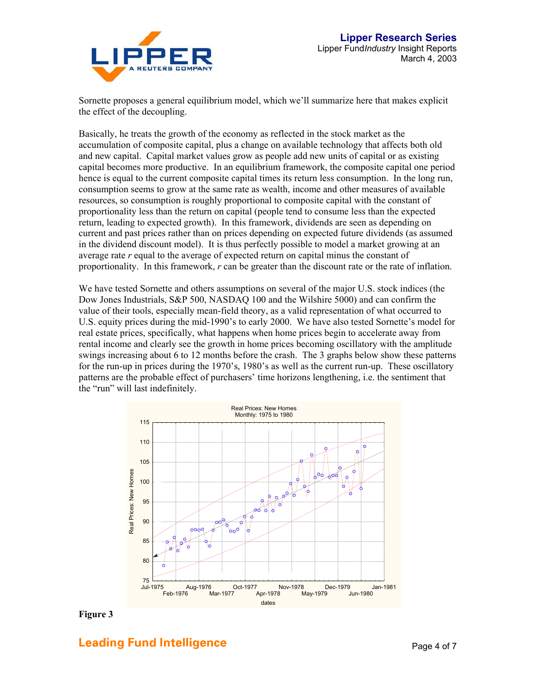

Sornette proposes a general equilibrium model, which we'll summarize here that makes explicit the effect of the decoupling.

Basically, he treats the growth of the economy as reflected in the stock market as the accumulation of composite capital, plus a change on available technology that affects both old and new capital. Capital market values grow as people add new units of capital or as existing capital becomes more productive. In an equilibrium framework, the composite capital one period hence is equal to the current composite capital times its return less consumption. In the long run, consumption seems to grow at the same rate as wealth, income and other measures of available resources, so consumption is roughly proportional to composite capital with the constant of proportionality less than the return on capital (people tend to consume less than the expected return, leading to expected growth). In this framework, dividends are seen as depending on current and past prices rather than on prices depending on expected future dividends (as assumed in the dividend discount model). It is thus perfectly possible to model a market growing at an average rate *r* equal to the average of expected return on capital minus the constant of proportionality. In this framework, *r* can be greater than the discount rate or the rate of inflation.

We have tested Sornette and others assumptions on several of the major U.S. stock indices (the Dow Jones Industrials, S&P 500, NASDAQ 100 and the Wilshire 5000) and can confirm the value of their tools, especially mean-field theory, as a valid representation of what occurred to U.S. equity prices during the mid-1990's to early 2000. We have also tested Sornette's model for real estate prices, specifically, what happens when home prices begin to accelerate away from rental income and clearly see the growth in home prices becoming oscillatory with the amplitude swings increasing about 6 to 12 months before the crash. The 3 graphs below show these patterns for the run-up in prices during the 1970's, 1980's as well as the current run-up. These oscillatory patterns are the probable effect of purchasers' time horizons lengthening, i.e. the sentiment that the "run" will last indefinitely.



**Figure 3** 

## **Leading Fund Intelligence Example 2 of 7** and 2 and 2 and 2 and 2 and 2 and 2 and 2 and 2 and 2 and 2 and 2 and 2 and 2 and 2 and 2 and 2 and 2 and 2 and 2 and 2 and 2 and 2 and 2 and 2 and 2 and 2 and 2 and 2 and 2 and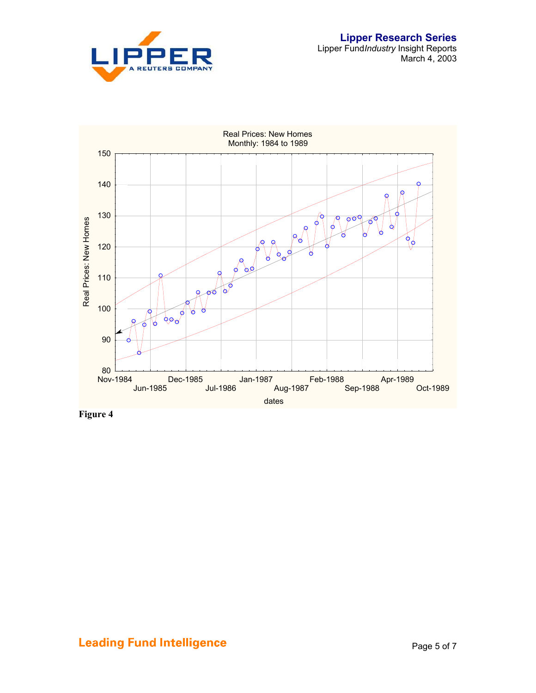



**Figure 4**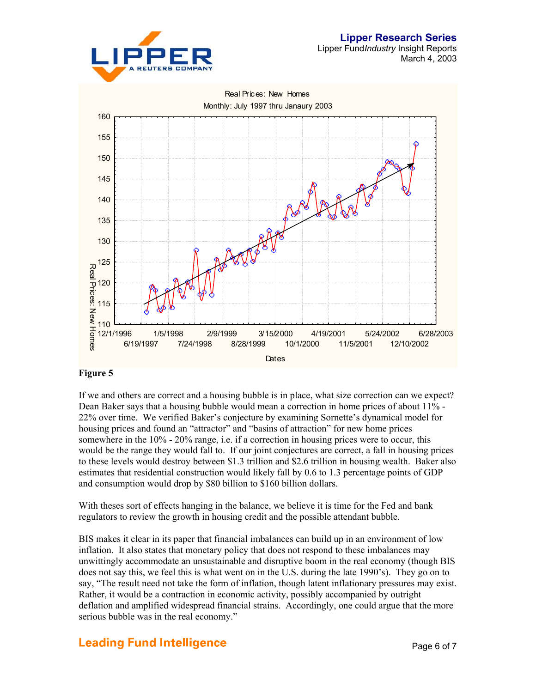



### **Figure 5**

If we and others are correct and a housing bubble is in place, what size correction can we expect? Dean Baker says that a housing bubble would mean a correction in home prices of about 11% - 22% over time. We verified Baker's conjecture by examining Sornette's dynamical model for housing prices and found an "attractor" and "basins of attraction" for new home prices somewhere in the 10% - 20% range, i.e. if a correction in housing prices were to occur, this would be the range they would fall to. If our joint conjectures are correct, a fall in housing prices to these levels would destroy between \$1.3 trillion and \$2.6 trillion in housing wealth. Baker also estimates that residential construction would likely fall by 0.6 to 1.3 percentage points of GDP and consumption would drop by \$80 billion to \$160 billion dollars.

With theses sort of effects hanging in the balance, we believe it is time for the Fed and bank regulators to review the growth in housing credit and the possible attendant bubble.

BIS makes it clear in its paper that financial imbalances can build up in an environment of low inflation. It also states that monetary policy that does not respond to these imbalances may unwittingly accommodate an unsustainable and disruptive boom in the real economy (though BIS does not say this, we feel this is what went on in the U.S. during the late 1990's). They go on to say, "The result need not take the form of inflation, though latent inflationary pressures may exist. Rather, it would be a contraction in economic activity, possibly accompanied by outright deflation and amplified widespread financial strains. Accordingly, one could argue that the more serious bubble was in the real economy."

# **Leading Fund Intelligence Example 2 and Taylor 1 and Taylor 2 and Taylor 2 and Taylor 2 and Taylor 2 and Taylor 2 and Taylor 2 and Taylor 2 and Taylor 2 and Taylor 2 and Taylor 2 and Taylor 2 and Taylor 2 and Taylor 2 a**